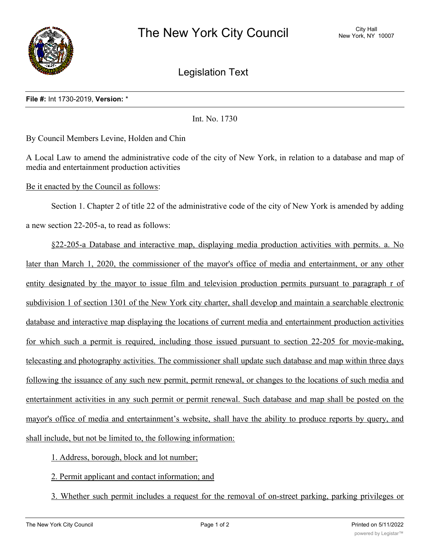

Legislation Text

## **File #:** Int 1730-2019, **Version:** \*

Int. No. 1730

By Council Members Levine, Holden and Chin

A Local Law to amend the administrative code of the city of New York, in relation to a database and map of media and entertainment production activities

Be it enacted by the Council as follows:

Section 1. Chapter 2 of title 22 of the administrative code of the city of New York is amended by adding a new section 22-205-a, to read as follows:

§22-205-a Database and interactive map, displaying media production activities with permits. a. No later than March 1, 2020, the commissioner of the mayor's office of media and entertainment, or any other entity designated by the mayor to issue film and television production permits pursuant to paragraph r of subdivision 1 of section 1301 of the New York city charter, shall develop and maintain a searchable electronic database and interactive map displaying the locations of current media and entertainment production activities for which such a permit is required, including those issued pursuant to section 22-205 for movie-making, telecasting and photography activities. The commissioner shall update such database and map within three days following the issuance of any such new permit, permit renewal, or changes to the locations of such media and entertainment activities in any such permit or permit renewal. Such database and map shall be posted on the mayor's office of media and entertainment's website, shall have the ability to produce reports by query, and shall include, but not be limited to, the following information:

1. Address, borough, block and lot number;

2. Permit applicant and contact information; and

3. Whether such permit includes a request for the removal of on-street parking, parking privileges or